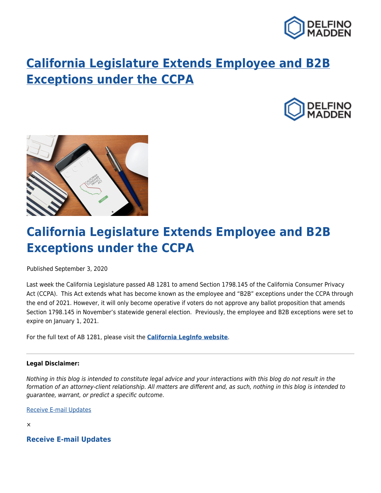

## **[California Legislature Extends Employee and B2B](https://delfinomadden.com/employee-and-b2b-ccpa-exceptions/) [Exceptions under the CCPA](https://delfinomadden.com/employee-and-b2b-ccpa-exceptions/)**





## **California Legislature Extends Employee and B2B Exceptions under the CCPA**

Published September 3, 2020

Last week the California Legislature passed AB 1281 to amend Section 1798.145 of the California Consumer Privacy Act (CCPA). This Act extends what has become known as the employee and "B2B" exceptions under the CCPA through the end of 2021. However, it will only become operative if voters do not approve any ballot proposition that amends Section 1798.145 in November's statewide general election. Previously, the employee and B2B exceptions were set to expire on January 1, 2021.

For the full text of AB 1281, please visit the **[California LegInfo website](http://leginfo.legislature.ca.gov/faces/billNavClient.xhtml?bill_id=201920200AB1281)**.

## **Legal Disclaimer:**

Nothing in this blog is intended to constitute legal advice and your interactions with this blog do not result in the formation of an attorney-client relationship. All matters are different and, as such, nothing in this blog is intended to guarantee, warrant, or predict a specific outcome.

[Receive E-mail Updates](https://delfinomadden.com/sign-up/)

×

**Receive E-mail Updates**